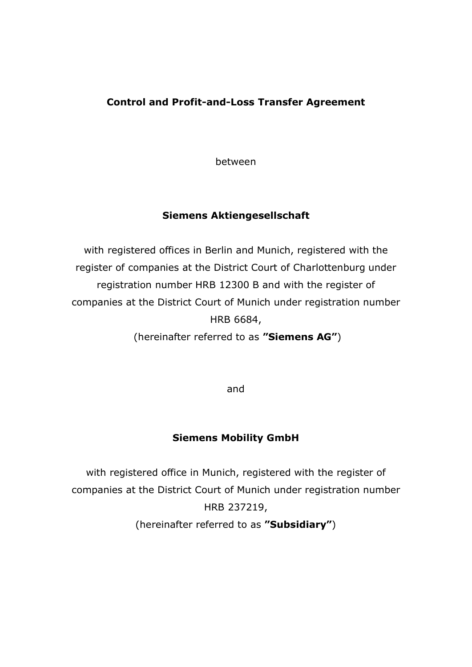# **Control and Profit-and-Loss Transfer Agreement**

between

## **Siemens Aktiengesellschaft**

with registered offices in Berlin and Munich, registered with the register of companies at the District Court of Charlottenburg under registration number HRB 12300 B and with the register of companies at the District Court of Munich under registration number HRB 6684,

(hereinafter referred to as **"Siemens AG"**)

and

# **Siemens Mobility GmbH**

with registered office in Munich, registered with the register of companies at the District Court of Munich under registration number HRB 237219, (hereinafter referred to as **"Subsidiary"**)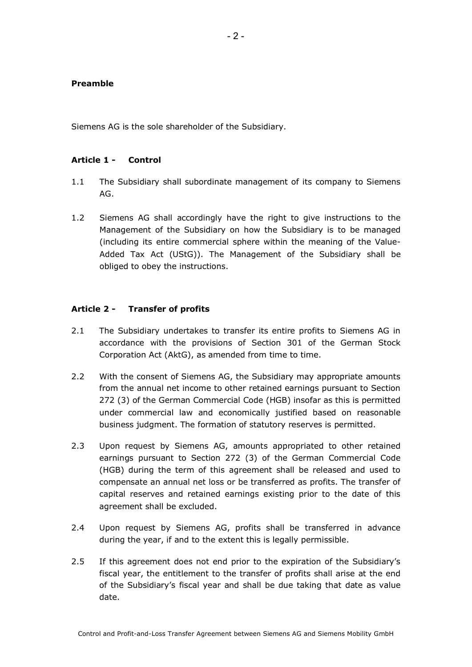#### **Preamble**

Siemens AG is the sole shareholder of the Subsidiary.

### **Article 1 - Control**

- 1.1 The Subsidiary shall subordinate management of its company to Siemens AG.
- 1.2 Siemens AG shall accordingly have the right to give instructions to the Management of the Subsidiary on how the Subsidiary is to be managed (including its entire commercial sphere within the meaning of the Value-Added Tax Act (UStG)). The Management of the Subsidiary shall be obliged to obey the instructions.

### **Article 2 - Transfer of profits**

- 2.1 The Subsidiary undertakes to transfer its entire profits to Siemens AG in accordance with the provisions of Section 301 of the German Stock Corporation Act (AktG), as amended from time to time.
- 2.2 With the consent of Siemens AG, the Subsidiary may appropriate amounts from the annual net income to other retained earnings pursuant to Section 272 (3) of the German Commercial Code (HGB) insofar as this is permitted under commercial law and economically justified based on reasonable business judgment. The formation of statutory reserves is permitted.
- 2.3 Upon request by Siemens AG, amounts appropriated to other retained earnings pursuant to Section 272 (3) of the German Commercial Code (HGB) during the term of this agreement shall be released and used to compensate an annual net loss or be transferred as profits. The transfer of capital reserves and retained earnings existing prior to the date of this agreement shall be excluded.
- 2.4 Upon request by Siemens AG, profits shall be transferred in advance during the year, if and to the extent this is legally permissible.
- 2.5 If this agreement does not end prior to the expiration of the Subsidiary's fiscal year, the entitlement to the transfer of profits shall arise at the end of the Subsidiary's fiscal year and shall be due taking that date as value date.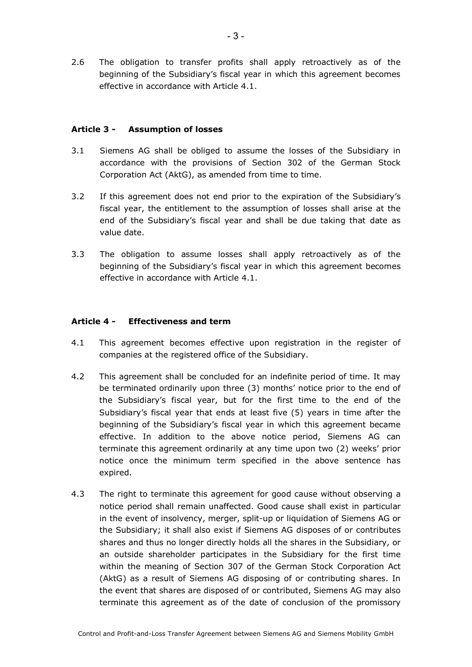2.6 The obligation to transfer profits shall apply retroactively as of the beginning of the Subsidiary's fiscal year in which this agreement becomes effective in accordance with Article 4.1.

### **Article 3 - Assumption of losses**

- 3.1 Siemens AG shall be obliged to assume the losses of the Subsidiary in accordance with the provisions of Section 302 of the German Stock Corporation Act (AktG), as amended from time to time.
- 3.2 If this agreement does not end prior to the expiration of the Subsidiary's fiscal year, the entitlement to the assumption of losses shall arise at the end of the Subsidiary's fiscal year and shall be due taking that date as value date.
- 3.3 The obligation to assume losses shall apply retroactively as of the beginning of the Subsidiary's fiscal year in which this agreement becomes effective in accordance with Article 4.1.

### **Article 4 - Effectiveness and term**

- 4.1 This agreement becomes effective upon registration in the register of companies at the registered office of the Subsidiary.
- 4.2 This agreement shall be concluded for an indefinite period of time. It may be terminated ordinarily upon three (3) months' notice prior to the end of the Subsidiary's fiscal year, but for the first time to the end of the Subsidiary's fiscal year that ends at least five (5) years in time after the beginning of the Subsidiary's fiscal year in which this agreement became effective. In addition to the above notice period, Siemens AG can terminate this agreement ordinarily at any time upon two (2) weeks' prior notice once the minimum term specified in the above sentence has expired.
- 4.3 The right to terminate this agreement for good cause without observing a notice period shall remain unaffected. Good cause shall exist in particular in the event of insolvency, merger, split-up or liquidation of Siemens AG or the Subsidiary; it shall also exist if Siemens AG disposes of or contributes shares and thus no longer directly holds all the shares in the Subsidiary, or an outside shareholder participates in the Subsidiary for the first time within the meaning of Section 307 of the German Stock Corporation Act (AktG) as a result of Siemens AG disposing of or contributing shares. In the event that shares are disposed of or contributed, Siemens AG may also terminate this agreement as of the date of conclusion of the promissory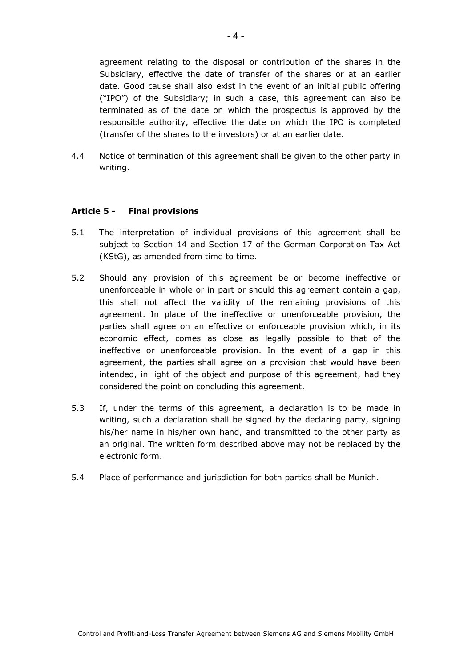agreement relating to the disposal or contribution of the shares in the Subsidiary, effective the date of transfer of the shares or at an earlier date. Good cause shall also exist in the event of an initial public offering ("IPO") of the Subsidiary; in such a case, this agreement can also be terminated as of the date on which the prospectus is approved by the responsible authority, effective the date on which the IPO is completed (transfer of the shares to the investors) or at an earlier date.

4.4 Notice of termination of this agreement shall be given to the other party in writing.

### **Article 5 - Final provisions**

- 5.1 The interpretation of individual provisions of this agreement shall be subject to Section 14 and Section 17 of the German Corporation Tax Act (KStG), as amended from time to time.
- 5.2 Should any provision of this agreement be or become ineffective or unenforceable in whole or in part or should this agreement contain a gap, this shall not affect the validity of the remaining provisions of this agreement. In place of the ineffective or unenforceable provision, the parties shall agree on an effective or enforceable provision which, in its economic effect, comes as close as legally possible to that of the ineffective or unenforceable provision. In the event of a gap in this agreement, the parties shall agree on a provision that would have been intended, in light of the object and purpose of this agreement, had they considered the point on concluding this agreement.
- 5.3 If, under the terms of this agreement, a declaration is to be made in writing, such a declaration shall be signed by the declaring party, signing his/her name in his/her own hand, and transmitted to the other party as an original. The written form described above may not be replaced by the electronic form.
- 5.4 Place of performance and jurisdiction for both parties shall be Munich.